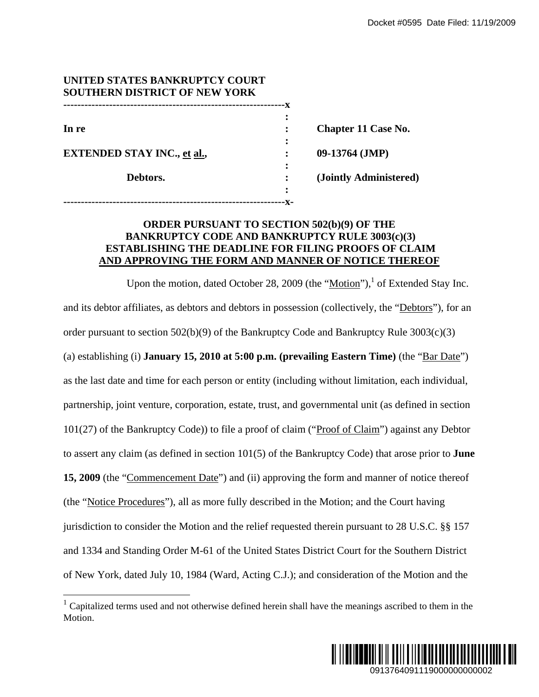| UNITED STATES BANKRUPTCY COURT       |   |                            |  |
|--------------------------------------|---|----------------------------|--|
| <b>SOUTHERN DISTRICT OF NEW YORK</b> |   |                            |  |
|                                      |   |                            |  |
|                                      |   |                            |  |
| In re                                |   | <b>Chapter 11 Case No.</b> |  |
|                                      |   |                            |  |
| <b>EXTENDED STAY INC., et al.,</b>   |   | $09-13764$ (JMP)           |  |
|                                      |   |                            |  |
| Debtors.                             |   | (Jointly Administered)     |  |
|                                      | ٠ |                            |  |
|                                      |   |                            |  |

## **ORDER PURSUANT TO SECTION 502(b)(9) OF THE BANKRUPTCY CODE AND BANKRUPTCY RULE 3003(c)(3) ESTABLISHING THE DEADLINE FOR FILING PROOFS OF CLAIM AND APPROVING THE FORM AND MANNER OF NOTICE THEREOF**

Upon the motion, dated October 28, 2009 (the " $Motion$ "),<sup>1</sup> of Extended Stay Inc.</u> and its debtor affiliates, as debtors and debtors in possession (collectively, the "Debtors"), for an order pursuant to section  $502(b)(9)$  of the Bankruptcy Code and Bankruptcy Rule  $3003(c)(3)$ (a) establishing (i) **January 15, 2010 at 5:00 p.m. (prevailing Eastern Time)** (the "Bar Date") as the last date and time for each person or entity (including without limitation, each individual, partnership, joint venture, corporation, estate, trust, and governmental unit (as defined in section 101(27) of the Bankruptcy Code)) to file a proof of claim ("Proof of Claim") against any Debtor to assert any claim (as defined in section 101(5) of the Bankruptcy Code) that arose prior to **June**  15, 2009 (the "Commencement Date") and (ii) approving the form and manner of notice thereof (the "Notice Procedures"), all as more fully described in the Motion; and the Court having jurisdiction to consider the Motion and the relief requested therein pursuant to 28 U.S.C. §§ 157 and 1334 and Standing Order M-61 of the United States District Court for the Southern District of New York, dated July 10, 1984 (Ward, Acting C.J.); and consideration of the Motion and the 0913764091119000000000002 Docket #0595 Date Filed: 11/19/2009

 $\overline{a}$ 



 $1$  Capitalized terms used and not otherwise defined herein shall have the meanings ascribed to them in the Motion.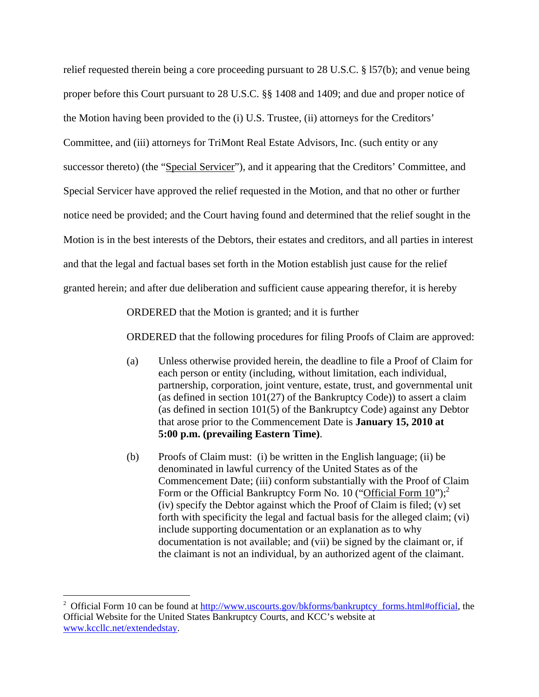relief requested therein being a core proceeding pursuant to 28 U.S.C. § l57(b); and venue being proper before this Court pursuant to 28 U.S.C. §§ 1408 and 1409; and due and proper notice of the Motion having been provided to the (i) U.S. Trustee, (ii) attorneys for the Creditors' Committee, and (iii) attorneys for TriMont Real Estate Advisors, Inc. (such entity or any successor thereto) (the "Special Servicer"), and it appearing that the Creditors' Committee, and Special Servicer have approved the relief requested in the Motion, and that no other or further notice need be provided; and the Court having found and determined that the relief sought in the Motion is in the best interests of the Debtors, their estates and creditors, and all parties in interest and that the legal and factual bases set forth in the Motion establish just cause for the relief granted herein; and after due deliberation and sufficient cause appearing therefor, it is hereby

ORDERED that the Motion is granted; and it is further

ORDERED that the following procedures for filing Proofs of Claim are approved:

- (a) Unless otherwise provided herein, the deadline to file a Proof of Claim for each person or entity (including, without limitation, each individual, partnership, corporation, joint venture, estate, trust, and governmental unit (as defined in section 101(27) of the Bankruptcy Code)) to assert a claim (as defined in section 101(5) of the Bankruptcy Code) against any Debtor that arose prior to the Commencement Date is **January 15, 2010 at 5:00 p.m. (prevailing Eastern Time)**.
- (b) Proofs of Claim must: (i) be written in the English language; (ii) be denominated in lawful currency of the United States as of the Commencement Date; (iii) conform substantially with the Proof of Claim Form or the Official Bankruptcy Form No. 10 ("Official Form  $10$ ");<sup>2</sup> (iv) specify the Debtor against which the Proof of Claim is filed; (v) set forth with specificity the legal and factual basis for the alleged claim; (vi) include supporting documentation or an explanation as to why documentation is not available; and (vii) be signed by the claimant or, if the claimant is not an individual, by an authorized agent of the claimant.

 $\overline{a}$ 

<sup>&</sup>lt;sup>2</sup> Official Form 10 can be found at http://www.uscourts.gov/bkforms/bankruptcy\_forms.html#official, the Official Website for the United States Bankruptcy Courts, and KCC's website at www.kccllc.net/extendedstay.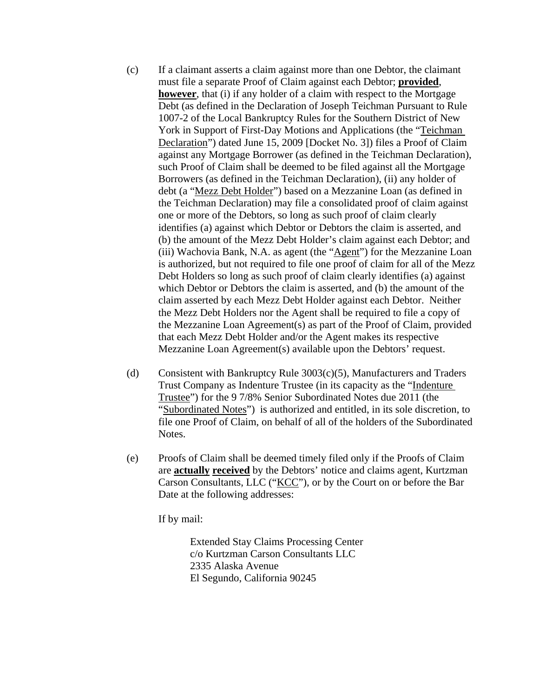- (c) If a claimant asserts a claim against more than one Debtor, the claimant must file a separate Proof of Claim against each Debtor; **provided**, **however**, that (i) if any holder of a claim with respect to the Mortgage Debt (as defined in the Declaration of Joseph Teichman Pursuant to Rule 1007-2 of the Local Bankruptcy Rules for the Southern District of New York in Support of First-Day Motions and Applications (the "Teichman Declaration") dated June 15, 2009 [Docket No. 3]) files a Proof of Claim against any Mortgage Borrower (as defined in the Teichman Declaration), such Proof of Claim shall be deemed to be filed against all the Mortgage Borrowers (as defined in the Teichman Declaration), (ii) any holder of debt (a "Mezz Debt Holder") based on a Mezzanine Loan (as defined in the Teichman Declaration) may file a consolidated proof of claim against one or more of the Debtors, so long as such proof of claim clearly identifies (a) against which Debtor or Debtors the claim is asserted, and (b) the amount of the Mezz Debt Holder's claim against each Debtor; and (iii) Wachovia Bank, N.A. as agent (the "Agent") for the Mezzanine Loan is authorized, but not required to file one proof of claim for all of the Mezz Debt Holders so long as such proof of claim clearly identifies (a) against which Debtor or Debtors the claim is asserted, and (b) the amount of the claim asserted by each Mezz Debt Holder against each Debtor. Neither the Mezz Debt Holders nor the Agent shall be required to file a copy of the Mezzanine Loan Agreement(s) as part of the Proof of Claim, provided that each Mezz Debt Holder and/or the Agent makes its respective Mezzanine Loan Agreement(s) available upon the Debtors' request.
- (d) Consistent with Bankruptcy Rule 3003(c)(5), Manufacturers and Traders Trust Company as Indenture Trustee (in its capacity as the "Indenture Trustee") for the 9 7/8% Senior Subordinated Notes due 2011 (the "Subordinated Notes") is authorized and entitled, in its sole discretion, to file one Proof of Claim, on behalf of all of the holders of the Subordinated Notes.
- (e) Proofs of Claim shall be deemed timely filed only if the Proofs of Claim are **actually received** by the Debtors' notice and claims agent, Kurtzman Carson Consultants, LLC ("KCC"), or by the Court on or before the Bar Date at the following addresses:

If by mail:

 Extended Stay Claims Processing Center c/o Kurtzman Carson Consultants LLC 2335 Alaska Avenue El Segundo, California 90245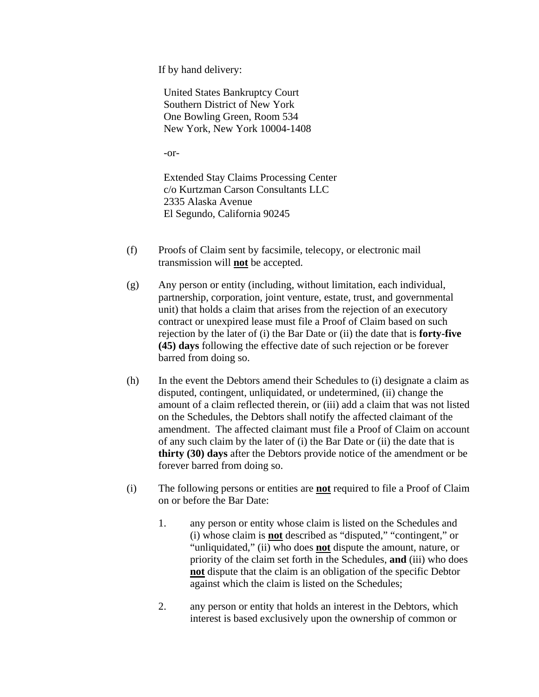If by hand delivery:

United States Bankruptcy Court Southern District of New York One Bowling Green, Room 534 New York, New York 10004-1408

-or-

Extended Stay Claims Processing Center c/o Kurtzman Carson Consultants LLC 2335 Alaska Avenue El Segundo, California 90245

- (f) Proofs of Claim sent by facsimile, telecopy, or electronic mail transmission will **not** be accepted.
- (g) Any person or entity (including, without limitation, each individual, partnership, corporation, joint venture, estate, trust, and governmental unit) that holds a claim that arises from the rejection of an executory contract or unexpired lease must file a Proof of Claim based on such rejection by the later of (i) the Bar Date or (ii) the date that is **forty-five (45) days** following the effective date of such rejection or be forever barred from doing so.
- (h) In the event the Debtors amend their Schedules to (i) designate a claim as disputed, contingent, unliquidated, or undetermined, (ii) change the amount of a claim reflected therein, or (iii) add a claim that was not listed on the Schedules, the Debtors shall notify the affected claimant of the amendment. The affected claimant must file a Proof of Claim on account of any such claim by the later of (i) the Bar Date or (ii) the date that is **thirty (30) days** after the Debtors provide notice of the amendment or be forever barred from doing so.
- (i) The following persons or entities are **not** required to file a Proof of Claim on or before the Bar Date:
	- 1. any person or entity whose claim is listed on the Schedules and (i) whose claim is **not** described as "disputed," "contingent," or "unliquidated," (ii) who does **not** dispute the amount, nature, or priority of the claim set forth in the Schedules, **and** (iii) who does **not** dispute that the claim is an obligation of the specific Debtor against which the claim is listed on the Schedules;
	- 2. any person or entity that holds an interest in the Debtors, which interest is based exclusively upon the ownership of common or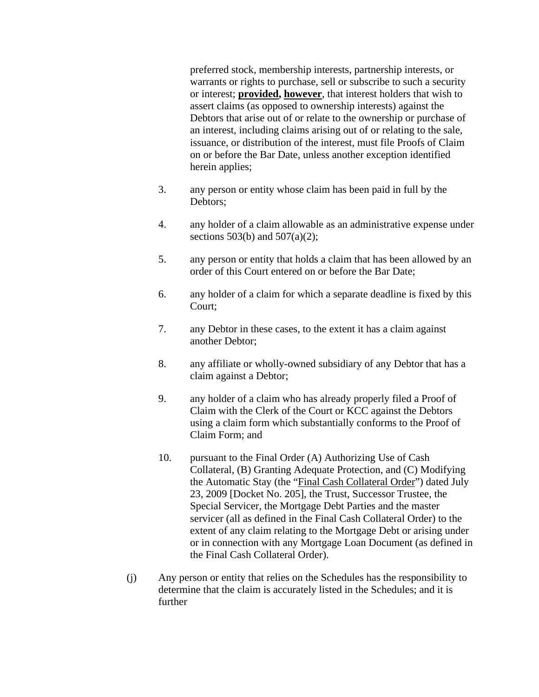preferred stock, membership interests, partnership interests, or warrants or rights to purchase, sell or subscribe to such a security or interest; **provided, however**, that interest holders that wish to assert claims (as opposed to ownership interests) against the Debtors that arise out of or relate to the ownership or purchase of an interest, including claims arising out of or relating to the sale, issuance, or distribution of the interest, must file Proofs of Claim on or before the Bar Date, unless another exception identified herein applies;

- 3. any person or entity whose claim has been paid in full by the Debtors;
- 4. any holder of a claim allowable as an administrative expense under sections 503(b) and 507(a)(2);
- 5. any person or entity that holds a claim that has been allowed by an order of this Court entered on or before the Bar Date;
- 6. any holder of a claim for which a separate deadline is fixed by this Court;
- 7. any Debtor in these cases, to the extent it has a claim against another Debtor;
- 8. any affiliate or wholly-owned subsidiary of any Debtor that has a claim against a Debtor;
- 9. any holder of a claim who has already properly filed a Proof of Claim with the Clerk of the Court or KCC against the Debtors using a claim form which substantially conforms to the Proof of Claim Form; and
- 10. pursuant to the Final Order (A) Authorizing Use of Cash Collateral, (B) Granting Adequate Protection, and (C) Modifying the Automatic Stay (the "Final Cash Collateral Order") dated July 23, 2009 [Docket No. 205], the Trust, Successor Trustee, the Special Servicer, the Mortgage Debt Parties and the master servicer (all as defined in the Final Cash Collateral Order) to the extent of any claim relating to the Mortgage Debt or arising under or in connection with any Mortgage Loan Document (as defined in the Final Cash Collateral Order).
- (j) Any person or entity that relies on the Schedules has the responsibility to determine that the claim is accurately listed in the Schedules; and it is further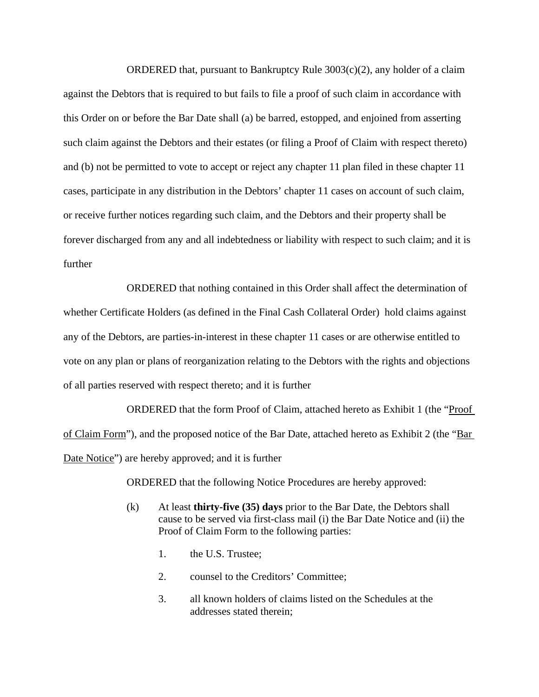ORDERED that, pursuant to Bankruptcy Rule  $3003(c)(2)$ , any holder of a claim against the Debtors that is required to but fails to file a proof of such claim in accordance with this Order on or before the Bar Date shall (a) be barred, estopped, and enjoined from asserting such claim against the Debtors and their estates (or filing a Proof of Claim with respect thereto) and (b) not be permitted to vote to accept or reject any chapter 11 plan filed in these chapter 11 cases, participate in any distribution in the Debtors' chapter 11 cases on account of such claim, or receive further notices regarding such claim, and the Debtors and their property shall be forever discharged from any and all indebtedness or liability with respect to such claim; and it is further

ORDERED that nothing contained in this Order shall affect the determination of whether Certificate Holders (as defined in the Final Cash Collateral Order) hold claims against any of the Debtors, are parties-in-interest in these chapter 11 cases or are otherwise entitled to vote on any plan or plans of reorganization relating to the Debtors with the rights and objections of all parties reserved with respect thereto; and it is further

ORDERED that the form Proof of Claim, attached hereto as Exhibit 1 (the "Proof of Claim Form"), and the proposed notice of the Bar Date, attached hereto as Exhibit 2 (the "Bar Date Notice") are hereby approved; and it is further

ORDERED that the following Notice Procedures are hereby approved:

- (k) At least **thirty-five (35) days** prior to the Bar Date, the Debtors shall cause to be served via first-class mail (i) the Bar Date Notice and (ii) the Proof of Claim Form to the following parties:
	- 1. the U.S. Trustee;
	- 2. counsel to the Creditors' Committee;
	- 3. all known holders of claims listed on the Schedules at the addresses stated therein;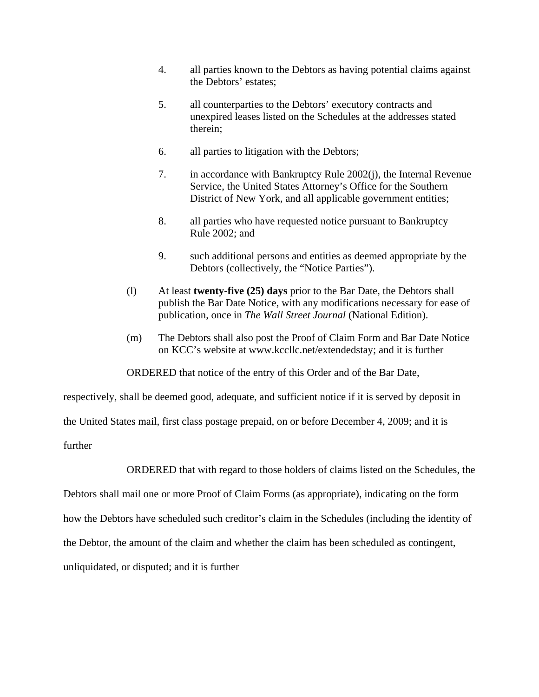- 4. all parties known to the Debtors as having potential claims against the Debtors' estates;
- 5. all counterparties to the Debtors' executory contracts and unexpired leases listed on the Schedules at the addresses stated therein;
- 6. all parties to litigation with the Debtors;
- 7. in accordance with Bankruptcy Rule 2002(j), the Internal Revenue Service, the United States Attorney's Office for the Southern District of New York, and all applicable government entities;
- 8. all parties who have requested notice pursuant to Bankruptcy Rule 2002; and
- 9. such additional persons and entities as deemed appropriate by the Debtors (collectively, the "Notice Parties").
- (l) At least **twenty-five (25) days** prior to the Bar Date, the Debtors shall publish the Bar Date Notice, with any modifications necessary for ease of publication, once in *The Wall Street Journal* (National Edition).
- (m) The Debtors shall also post the Proof of Claim Form and Bar Date Notice on KCC's website at www.kccllc.net/extendedstay; and it is further

ORDERED that notice of the entry of this Order and of the Bar Date,

respectively, shall be deemed good, adequate, and sufficient notice if it is served by deposit in

the United States mail, first class postage prepaid, on or before December 4, 2009; and it is

further

ORDERED that with regard to those holders of claims listed on the Schedules, the

Debtors shall mail one or more Proof of Claim Forms (as appropriate), indicating on the form

how the Debtors have scheduled such creditor's claim in the Schedules (including the identity of

the Debtor, the amount of the claim and whether the claim has been scheduled as contingent,

unliquidated, or disputed; and it is further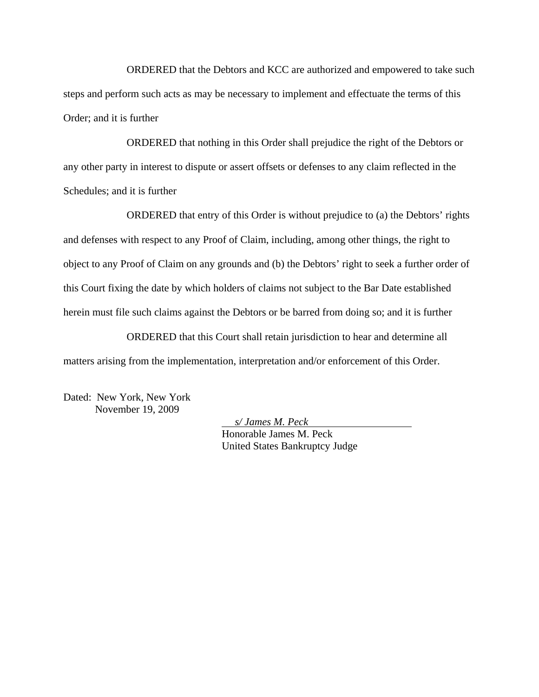ORDERED that the Debtors and KCC are authorized and empowered to take such steps and perform such acts as may be necessary to implement and effectuate the terms of this Order; and it is further

ORDERED that nothing in this Order shall prejudice the right of the Debtors or any other party in interest to dispute or assert offsets or defenses to any claim reflected in the Schedules; and it is further

ORDERED that entry of this Order is without prejudice to (a) the Debtors' rights and defenses with respect to any Proof of Claim, including, among other things, the right to object to any Proof of Claim on any grounds and (b) the Debtors' right to seek a further order of this Court fixing the date by which holders of claims not subject to the Bar Date established herein must file such claims against the Debtors or be barred from doing so; and it is further

ORDERED that this Court shall retain jurisdiction to hear and determine all matters arising from the implementation, interpretation and/or enforcement of this Order.

Dated: New York, New York November 19, 2009

*s/ James M. Peck* 

Honorable James M. Peck United States Bankruptcy Judge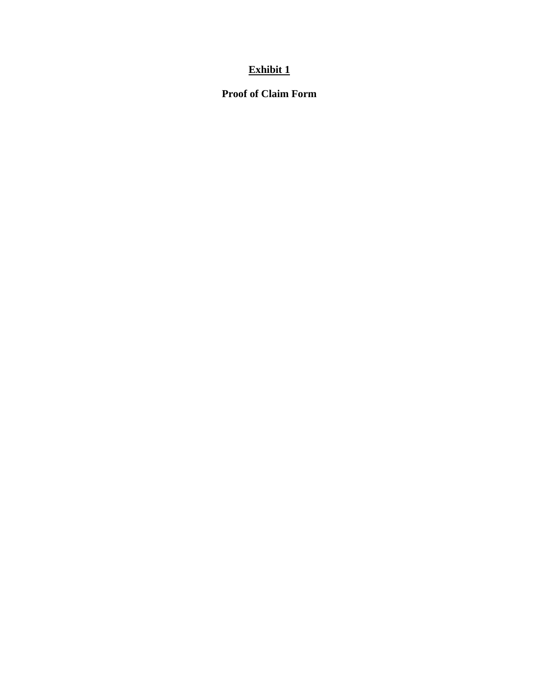# **Exhibit 1**

# **Proof of Claim Form**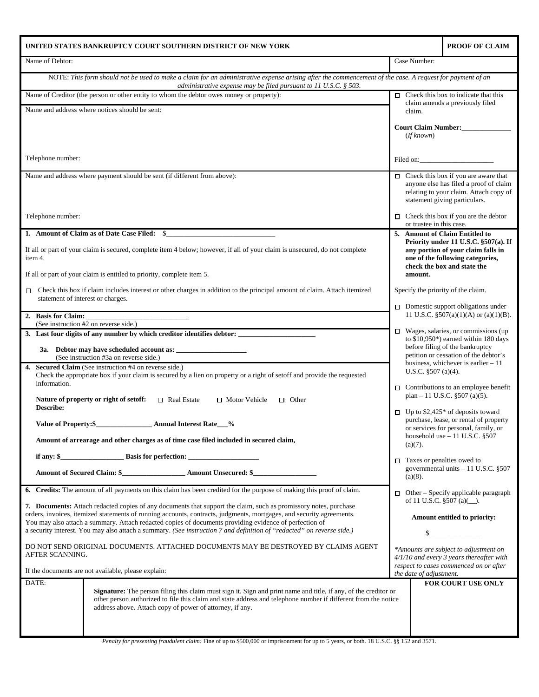| UNITED STATES BANKRUPTCY COURT SOUTHERN DISTRICT OF NEW YORK |                                                                                                                                                                                                                                          | PROOF OF CLAIM                     |                                                                                         |
|--------------------------------------------------------------|------------------------------------------------------------------------------------------------------------------------------------------------------------------------------------------------------------------------------------------|------------------------------------|-----------------------------------------------------------------------------------------|
| Name of Debtor:                                              |                                                                                                                                                                                                                                          | Case Number:                       |                                                                                         |
|                                                              | NOTE: This form should not be used to make a claim for an administrative expense arising after the commencement of the case. A request for payment of an<br>administrative expense may be filed pursuant to $11$ U.S.C. § 503.           |                                    |                                                                                         |
|                                                              | Name of Creditor (the person or other entity to whom the debtor owes money or property):                                                                                                                                                 |                                    | $\Box$ Check this box to indicate that this                                             |
|                                                              | Name and address where notices should be sent:                                                                                                                                                                                           | claim.                             | claim amends a previously filed                                                         |
|                                                              |                                                                                                                                                                                                                                          |                                    |                                                                                         |
|                                                              |                                                                                                                                                                                                                                          | (If known)                         |                                                                                         |
|                                                              |                                                                                                                                                                                                                                          |                                    |                                                                                         |
| Telephone number:                                            |                                                                                                                                                                                                                                          |                                    | Filed on:                                                                               |
|                                                              | Name and address where payment should be sent (if different from above):                                                                                                                                                                 |                                    | $\Box$ Check this box if you are aware that                                             |
|                                                              |                                                                                                                                                                                                                                          |                                    | anyone else has filed a proof of claim<br>relating to your claim. Attach copy of        |
|                                                              |                                                                                                                                                                                                                                          |                                    | statement giving particulars.                                                           |
| Telephone number:                                            |                                                                                                                                                                                                                                          |                                    | $\Box$ Check this box if you are the debtor                                             |
|                                                              | 1. Amount of Claim as of Date Case Filed: \$                                                                                                                                                                                             | or trustee in this case.           | 5. Amount of Claim Entitled to                                                          |
|                                                              |                                                                                                                                                                                                                                          |                                    | Priority under 11 U.S.C. §507(a). If                                                    |
| item 4.                                                      | If all or part of your claim is secured, complete item 4 below; however, if all of your claim is unsecured, do not complete                                                                                                              |                                    | any portion of your claim falls in<br>one of the following categories,                  |
|                                                              | If all or part of your claim is entitled to priority, complete item 5.                                                                                                                                                                   | amount.                            | check the box and state the                                                             |
|                                                              |                                                                                                                                                                                                                                          |                                    |                                                                                         |
| 0<br>statement of interest or charges.                       | Check this box if claim includes interest or other charges in addition to the principal amount of claim. Attach itemized                                                                                                                 | Specify the priority of the claim. |                                                                                         |
|                                                              |                                                                                                                                                                                                                                          |                                    | $\Box$ Domestic support obligations under<br>11 U.S.C. $$507(a)(1)(A)$ or $(a)(1)(B)$ . |
| 2. Basis for Claim:                                          | (See instruction #2 on reverse side.)                                                                                                                                                                                                    |                                    |                                                                                         |
|                                                              |                                                                                                                                                                                                                                          |                                    | $\Box$ Wages, salaries, or commissions (up<br>to $$10,950^*$ ) earned within 180 days   |
|                                                              |                                                                                                                                                                                                                                          |                                    | before filing of the bankruptcy                                                         |
|                                                              | (See instruction #3a on reverse side.)<br>4. Secured Claim (See instruction #4 on reverse side.)                                                                                                                                         |                                    | petition or cessation of the debtor's<br>business, whichever is earlier $-11$           |
|                                                              | Check the appropriate box if your claim is secured by a lien on property or a right of setoff and provide the requested                                                                                                                  | U.S.C. $$507(a)(4)$ .              |                                                                                         |
| information.                                                 |                                                                                                                                                                                                                                          |                                    | $\Box$ Contributions to an employee benefit                                             |
| Describe:                                                    | Nature of property or right of setoff:<br>$\Box$ Real Estate<br>□ Motor Vehicle<br>$\Box$ Other                                                                                                                                          |                                    | plan – 11 U.S.C. $\S 507$ (a)(5).                                                       |
|                                                              |                                                                                                                                                                                                                                          | □                                  | Up to $$2,425^*$ of deposits toward<br>purchase, lease, or rental of property           |
| Value of Property:\$                                         | <b>Annual Interest Rate</b><br>$\frac{9}{6}$                                                                                                                                                                                             |                                    | or services for personal, family, or<br>household use $-11$ U.S.C. §507                 |
|                                                              | Amount of arrearage and other charges as of time case filed included in secured claim,                                                                                                                                                   | $(a)(7)$ .                         |                                                                                         |
|                                                              |                                                                                                                                                                                                                                          | $\Box$ Taxes or penalties owed to  |                                                                                         |
|                                                              |                                                                                                                                                                                                                                          |                                    | governmental units $-11$ U.S.C. §507                                                    |
|                                                              | 6. Credits: The amount of all payments on this claim has been credited for the purpose of making this proof of claim.                                                                                                                    | $(a)(8)$ .                         |                                                                                         |
|                                                              |                                                                                                                                                                                                                                          |                                    | $\Box$ Other – Specify applicable paragraph<br>of 11 U.S.C. §507 (a)(_).                |
|                                                              | 7. Documents: Attach redacted copies of any documents that support the claim, such as promissory notes, purchase<br>orders, invoices, itemized statements of running accounts, contracts, judgments, mortgages, and security agreements. |                                    |                                                                                         |
|                                                              | You may also attach a summary. Attach redacted copies of documents providing evidence of perfection of<br>a security interest. You may also attach a summary. (See instruction 7 and definition of "redacted" on reverse side.)          |                                    | Amount entitled to priority:                                                            |
|                                                              |                                                                                                                                                                                                                                          |                                    |                                                                                         |
| AFTER SCANNING.                                              | DO NOT SEND ORIGINAL DOCUMENTS. ATTACHED DOCUMENTS MAY BE DESTROYED BY CLAIMS AGENT                                                                                                                                                      |                                    | *Amounts are subject to adjustment on<br>4/1/10 and every 3 years thereafter with       |
|                                                              |                                                                                                                                                                                                                                          |                                    | respect to cases commenced on or after                                                  |
| DATE:                                                        | If the documents are not available, please explain:                                                                                                                                                                                      | the date of adjustment.            | FOR COURT USE ONLY                                                                      |
|                                                              | <b>Signature:</b> The person filing this claim must sign it. Sign and print name and title, if any, of the creditor or                                                                                                                   |                                    |                                                                                         |
|                                                              | other person authorized to file this claim and state address and telephone number if different from the notice<br>address above. Attach copy of power of attorney, if any.                                                               |                                    |                                                                                         |
|                                                              |                                                                                                                                                                                                                                          |                                    |                                                                                         |
|                                                              |                                                                                                                                                                                                                                          |                                    |                                                                                         |

*Penalty for presenting fraudulent claim:* Fine of up to \$500,000 or imprisonment for up to 5 years, or both. 18 U.S.C. §§ 152 and 3571.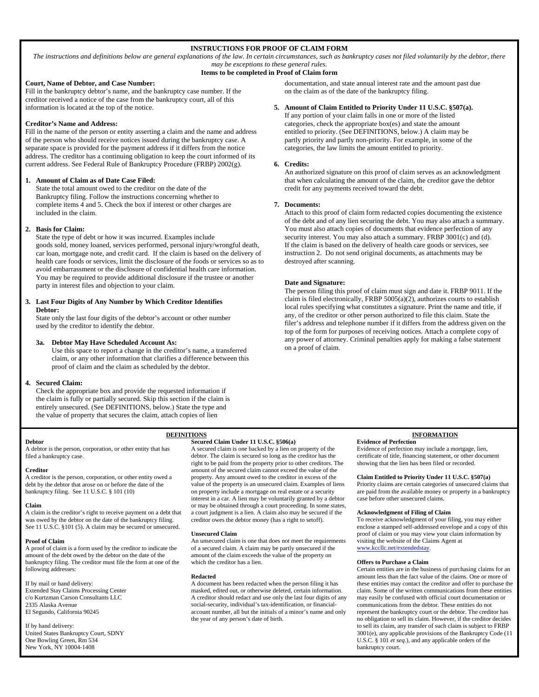### **INSTRUCTIONS FOR PROOF OF CLAIM FORM**

*The instructions and definitions below are general explanations of the law. In certain circumstances, such as bankruptcy cases not filed voluntarily by the debtor, there may be exceptions to these general rules.* 

#### **Items to be completed in Proof of Claim form**

#### **Court, Name of Debtor, and Case Number:**

Fill in the bankruptcy debtor's name, and the bankruptcy case number. If the creditor received a notice of the case from the bankruptcy court, all of this information is located at the top of the notice.

#### **Creditor's Name and Address:**

Fill in the name of the person or entity asserting a claim and the name and address of the person who should receive notices issued during the bankruptcy case. A separate space is provided for the payment address if it differs from the notice address. The creditor has a continuing obligation to keep the court informed of its current address. See Federal Rule of Bankruptcy Procedure (FRBP) 2002(g).

#### **1. Amount of Claim as of Date Case Filed:**

State the total amount owed to the creditor on the date of the Bankruptcy filing. Follow the instructions concerning whether to complete items 4 and 5. Check the box if interest or other charges are included in the claim.

#### **2. Basis for Claim:**

State the type of debt or how it was incurred. Examples include goods sold, money loaned, services performed, personal injury/wrongful death, car loan, mortgage note, and credit card. If the claim is based on the delivery of health care foods or services, limit the disclosure of the foods or services so as to avoid embarrassment or the disclosure of confidential health care information. You may be required to provide additional disclosure if the trustee or another party in interest files and objection to your claim.

#### **3. Last Four Digits of Any Number by Which Creditor Identifies Debtor:**

State only the last four digits of the debtor's account or other number used by the creditor to identify the debtor.

#### **3a. Debtor May Have Scheduled Account As:**

Use this space to report a change in the creditor's name, a transferred claim, or any other information that clarifies a difference between this proof of claim and the claim as scheduled by the debtor.

#### **4. Secured Claim:**

Check the appropriate box and provide the requested information if the claim is fully or partially secured. Skip this section if the claim is entirely unsecured. (See DEFINITIONS, below.) State the type and the value of property that secures the claim, attach copies of lien

documentation, and state annual interest rate and the amount past due on the claim as of the date of the bankruptcy filing.

#### **5. Amount of Claim Entitled to Priority Under 11 U.S.C. §507(a).**

If any portion of your claim falls in one or more of the listed categories, check the appropriate box(es) and state the amount entitled to priority. (See DEFINITIONS, below.) A claim may be partly priority and partly non-priority. For example, in some of the categories, the law limits the amount entitled to priority.

#### **6. Credits:**

An authorized signature on this proof of claim serves as an acknowledgment that when calculating the amount of the claim, the creditor gave the debtor credit for any payments received toward the debt.

#### **7. Documents:**

Attach to this proof of claim form redacted copies documenting the existence of the debt and of any lien securing the debt. You may also attach a summary. You must also attach copies of documents that evidence perfection of any security interest. You may also attach a summary. FRBP 3001(c) and (d). If the claim is based on the delivery of health care goods or services, see instruction 2. Do not send original documents, as attachments may be destroyed after scanning.

#### **Date and Signature:**

The person filing this proof of claim must sign and date it. FRBP 9011. If the claim is filed electronically, FRBP 5005(a)(2), authorizes courts to establish local rules specifying what constitutes a signature. Print the name and title, if any, of the creditor or other person authorized to file this claim. State the filer's address and telephone number if it differs from the address given on the top of the form for purposes of receiving notices. Attach a complete copy of any power of attorney. Criminal penalties apply for making a false statement on a proof of claim.

## **Secured Claim Under 11 U.S.C. §506(a)**

A debtor is the person, corporation, or other entity that has filed a bankruptcy case.

#### **Creditor**

**Debtor** 

A creditor is the person, corporation, or other entity owed a debt by the debtor that arose on or before the date of the bankruptcy filing. See 11 U.S.C. § 101 (10)

#### **Claim**

A claim is the creditor's right to receive payment on a debt that was owed by the debtor on the date of the bankruptcy filing. See 11 U.S.C. §101 (5). A claim may be secured or unsecured.

#### **Proof of Claim**

A proof of claim is a form used by the creditor to indicate the amount of the debt owed by the debtor on the date of the bankruptcy filing. The creditor must file the form at one of the following addresses:

#### If by mail or hand delivery:

Extended Stay Claims Processing Center c/o Kurtzman Carson Consultants LLC 2335 Alaska Avenue El Segundo, California 90245

If by hand delivery: United States Bankruptcy Court, SDNY One Bowling Green, Rm 534 New York, NY 10004-1408

A secured claim is one backed by a lien on property of the debtor. The claim is secured so long as the creditor has the right to be paid from the property prior to other creditors. The amount of the secured claim cannot exceed the value of the property. Any amount owed to the creditor in excess of the value of the property is an unsecured claim. Examples of liens on property include a mortgage on real estate or a security interest in a car. A lien may be voluntarily granted by a debtor or may be obtained through a court proceeding. In some states, a court judgment is a lien. A claim also may be secured if the creditor owes the debtor money (has a right to setoff).

#### **Unsecured Claim**

An unsecured claim is one that does not meet the requirements of a secured claim. A claim may be partly unsecured if the amount of the claim exceeds the value of the property on which the creditor has a lien.

#### **Redacted**

A document has been redacted when the person filing it has masked, edited out, or otherwise deleted, certain information. A creditor should redact and use only the last four digits of any social-security, individual's tax-identification, or financialaccount number, all but the initials of a minor's name and only the year of any person's date of birth.

#### **DEFINITIONS INFORMATION**

**Evidence of Perfection**  Evidence of perfection may include a mortgage, lien, certificate of title, financing statement, or other document showing that the lien has been filed or recorded.

#### **Claim Entitled to Priority Under 11 U.S.C. §507(a)**

Priority claims are certain categories of unsecured claims that are paid from the available money or property in a bankruptcy case before other unsecured claims.

#### **Acknowledgment of Filing of Claim**

To receive acknowledgment of your filing, you may either enclose a stamped self-addressed envelope and a copy of this proof of claim or you may view your claim information by visiting the website of the Claims Agent at www.kccllc.net/extendedstay.

#### **Offers to Purchase a Claim**

Certain entities are in the business of purchasing claims for an amount less than the fact value of the claims. One or more of these entities may contact the creditor and offer to purchase the claim. Some of the written communications from these entities may easily be confused with official court documentation or communications from the debtor. These entities do not represent the bankruptcy court or the debtor. The creditor has no obligation to sell its claim. However, if the creditor decides to sell its claim, any transfer of such claim is subject to FRBP 3001(e), any applicable provisions of the Bankruptcy Code (11 U.S.C. § 101 *et seq*.), and any applicable orders of the bankruptcy court.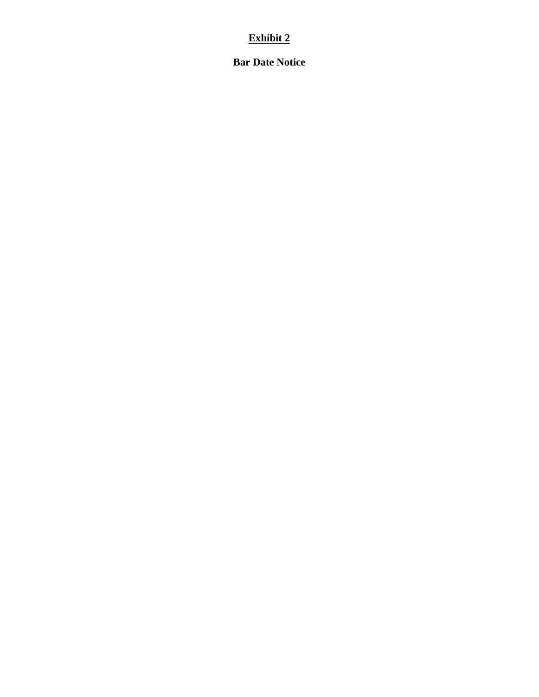# **Exhibit 2**

**Bar Date Notice**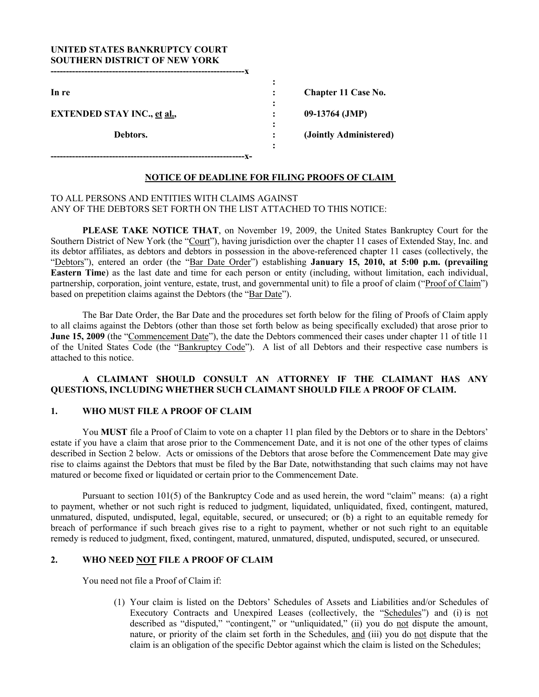### **UNITED STATES BANKRUPTCY COURT SOUTHERN DISTRICT OF NEW YORK**

|                                    | ٠                                 |                        |
|------------------------------------|-----------------------------------|------------------------|
| In re                              |                                   | Chapter 11 Case No.    |
|                                    | $\bullet$<br>$\bullet$            |                        |
| <b>EXTENDED STAY INC., et al.,</b> |                                   | 09-13764 (JMP)         |
|                                    | $\bullet$<br>$\ddot{\phantom{0}}$ |                        |
| Debtors.                           | $\bullet$                         | (Jointly Administered) |
|                                    | $\ddot{\cdot}$                    |                        |
|                                    |                                   |                        |

### **NOTICE OF DEADLINE FOR FILING PROOFS OF CLAIM**

### TO ALL PERSONS AND ENTITIES WITH CLAIMS AGAINST ANY OF THE DEBTORS SET FORTH ON THE LIST ATTACHED TO THIS NOTICE:

**PLEASE TAKE NOTICE THAT**, on November 19, 2009, the United States Bankruptcy Court for the Southern District of New York (the "Court"), having jurisdiction over the chapter 11 cases of Extended Stay, Inc. and its debtor affiliates, as debtors and debtors in possession in the above-referenced chapter 11 cases (collectively, the "Debtors"), entered an order (the "Bar Date Order") establishing **January 15, 2010, at 5:00 p.m. (prevailing Eastern Time**) as the last date and time for each person or entity (including, without limitation, each individual, partnership, corporation, joint venture, estate, trust, and governmental unit) to file a proof of claim ("Proof of Claim") based on prepetition claims against the Debtors (the "Bar Date").

The Bar Date Order, the Bar Date and the procedures set forth below for the filing of Proofs of Claim apply to all claims against the Debtors (other than those set forth below as being specifically excluded) that arose prior to **June 15, 2009** (the "Commencement Date"), the date the Debtors commenced their cases under chapter 11 of title 11 of the United States Code (the "Bankruptcy Code"). A list of all Debtors and their respective case numbers is attached to this notice.

### **A CLAIMANT SHOULD CONSULT AN ATTORNEY IF THE CLAIMANT HAS ANY QUESTIONS, INCLUDING WHETHER SUCH CLAIMANT SHOULD FILE A PROOF OF CLAIM.**

### **1. WHO MUST FILE A PROOF OF CLAIM**

You **MUST** file a Proof of Claim to vote on a chapter 11 plan filed by the Debtors or to share in the Debtors' estate if you have a claim that arose prior to the Commencement Date, and it is not one of the other types of claims described in Section 2 below. Acts or omissions of the Debtors that arose before the Commencement Date may give rise to claims against the Debtors that must be filed by the Bar Date, notwithstanding that such claims may not have matured or become fixed or liquidated or certain prior to the Commencement Date.

 Pursuant to section 101(5) of the Bankruptcy Code and as used herein, the word "claim" means: (a) a right to payment, whether or not such right is reduced to judgment, liquidated, unliquidated, fixed, contingent, matured, unmatured, disputed, undisputed, legal, equitable, secured, or unsecured; or (b) a right to an equitable remedy for breach of performance if such breach gives rise to a right to payment, whether or not such right to an equitable remedy is reduced to judgment, fixed, contingent, matured, unmatured, disputed, undisputed, secured, or unsecured.

### **2. WHO NEED NOT FILE A PROOF OF CLAIM**

You need not file a Proof of Claim if:

(1) Your claim is listed on the Debtors' Schedules of Assets and Liabilities and/or Schedules of Executory Contracts and Unexpired Leases (collectively, the "Schedules") and (i) is not described as "disputed," "contingent," or "unliquidated," (ii) you do not dispute the amount, nature, or priority of the claim set forth in the Schedules, and (iii) you do not dispute that the claim is an obligation of the specific Debtor against which the claim is listed on the Schedules;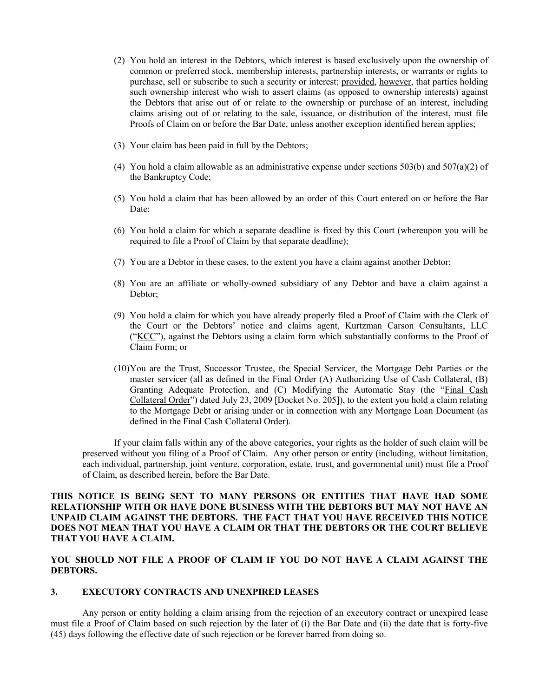- (2) You hold an interest in the Debtors, which interest is based exclusively upon the ownership of common or preferred stock, membership interests, partnership interests, or warrants or rights to purchase, sell or subscribe to such a security or interest; provided, however, that parties holding such ownership interest who wish to assert claims (as opposed to ownership interests) against the Debtors that arise out of or relate to the ownership or purchase of an interest, including claims arising out of or relating to the sale, issuance, or distribution of the interest, must file Proofs of Claim on or before the Bar Date, unless another exception identified herein applies;
- (3) Your claim has been paid in full by the Debtors;
- (4) You hold a claim allowable as an administrative expense under sections  $503(b)$  and  $507(a)(2)$  of the Bankruptcy Code;
- (5) You hold a claim that has been allowed by an order of this Court entered on or before the Bar Date;
- (6) You hold a claim for which a separate deadline is fixed by this Court (whereupon you will be required to file a Proof of Claim by that separate deadline);
- (7) You are a Debtor in these cases, to the extent you have a claim against another Debtor;
- (8) You are an affiliate or wholly-owned subsidiary of any Debtor and have a claim against a Debtor;
- (9) You hold a claim for which you have already properly filed a Proof of Claim with the Clerk of the Court or the Debtors' notice and claims agent, Kurtzman Carson Consultants, LLC ("KCC"), against the Debtors using a claim form which substantially conforms to the Proof of Claim Form; or
- (10)You are the Trust, Successor Trustee, the Special Servicer, the Mortgage Debt Parties or the master servicer (all as defined in the Final Order (A) Authorizing Use of Cash Collateral, (B) Granting Adequate Protection, and (C) Modifying the Automatic Stay (the "Final Cash Collateral Order") dated July 23, 2009 [Docket No. 205]), to the extent you hold a claim relating to the Mortgage Debt or arising under or in connection with any Mortgage Loan Document (as defined in the Final Cash Collateral Order).

 If your claim falls within any of the above categories, your rights as the holder of such claim will be preserved without you filing of a Proof of Claim. Any other person or entity (including, without limitation, each individual, partnership, joint venture, corporation, estate, trust, and governmental unit) must file a Proof of Claim, as described herein, before the Bar Date.

### **THIS NOTICE IS BEING SENT TO MANY PERSONS OR ENTITIES THAT HAVE HAD SOME RELATIONSHIP WITH OR HAVE DONE BUSINESS WITH THE DEBTORS BUT MAY NOT HAVE AN UNPAID CLAIM AGAINST THE DEBTORS. THE FACT THAT YOU HAVE RECEIVED THIS NOTICE DOES NOT MEAN THAT YOU HAVE A CLAIM OR THAT THE DEBTORS OR THE COURT BELIEVE THAT YOU HAVE A CLAIM.**

### **YOU SHOULD NOT FILE A PROOF OF CLAIM IF YOU DO NOT HAVE A CLAIM AGAINST THE DEBTORS.**

### **3. EXECUTORY CONTRACTS AND UNEXPIRED LEASES**

 Any person or entity holding a claim arising from the rejection of an executory contract or unexpired lease must file a Proof of Claim based on such rejection by the later of (i) the Bar Date and (ii) the date that is forty-five (45) days following the effective date of such rejection or be forever barred from doing so.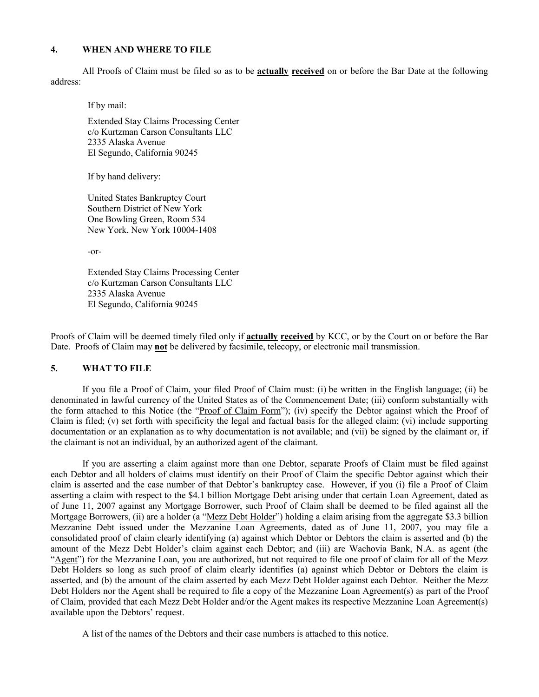### **4. WHEN AND WHERE TO FILE**

 All Proofs of Claim must be filed so as to be **actually received** on or before the Bar Date at the following address:

If by mail:

Extended Stay Claims Processing Center c/o Kurtzman Carson Consultants LLC 2335 Alaska Avenue El Segundo, California 90245

If by hand delivery:

United States Bankruptcy Court Southern District of New York One Bowling Green, Room 534 New York, New York 10004-1408

-or-

Extended Stay Claims Processing Center c/o Kurtzman Carson Consultants LLC 2335 Alaska Avenue El Segundo, California 90245

Proofs of Claim will be deemed timely filed only if **actually received** by KCC, or by the Court on or before the Bar Date. Proofs of Claim may **not** be delivered by facsimile, telecopy, or electronic mail transmission.

### **5. WHAT TO FILE**

 If you file a Proof of Claim, your filed Proof of Claim must: (i) be written in the English language; (ii) be denominated in lawful currency of the United States as of the Commencement Date; (iii) conform substantially with the form attached to this Notice (the "Proof of Claim Form"); (iv) specify the Debtor against which the Proof of Claim is filed; (v) set forth with specificity the legal and factual basis for the alleged claim; (vi) include supporting documentation or an explanation as to why documentation is not available; and (vii) be signed by the claimant or, if the claimant is not an individual, by an authorized agent of the claimant.

If you are asserting a claim against more than one Debtor, separate Proofs of Claim must be filed against each Debtor and all holders of claims must identify on their Proof of Claim the specific Debtor against which their claim is asserted and the case number of that Debtor's bankruptcy case. However, if you (i) file a Proof of Claim asserting a claim with respect to the \$4.1 billion Mortgage Debt arising under that certain Loan Agreement, dated as of June 11, 2007 against any Mortgage Borrower, such Proof of Claim shall be deemed to be filed against all the Mortgage Borrowers, (ii) are a holder (a "Mezz Debt Holder") holding a claim arising from the aggregate \$3.3 billion Mezzanine Debt issued under the Mezzanine Loan Agreements, dated as of June 11, 2007, you may file a consolidated proof of claim clearly identifying (a) against which Debtor or Debtors the claim is asserted and (b) the amount of the Mezz Debt Holder's claim against each Debtor; and (iii) are Wachovia Bank, N.A. as agent (the "Agent") for the Mezzanine Loan, you are authorized, but not required to file one proof of claim for all of the Mezz Debt Holders so long as such proof of claim clearly identifies (a) against which Debtor or Debtors the claim is asserted, and (b) the amount of the claim asserted by each Mezz Debt Holder against each Debtor. Neither the Mezz Debt Holders nor the Agent shall be required to file a copy of the Mezzanine Loan Agreement(s) as part of the Proof of Claim, provided that each Mezz Debt Holder and/or the Agent makes its respective Mezzanine Loan Agreement(s) available upon the Debtors' request.

A list of the names of the Debtors and their case numbers is attached to this notice.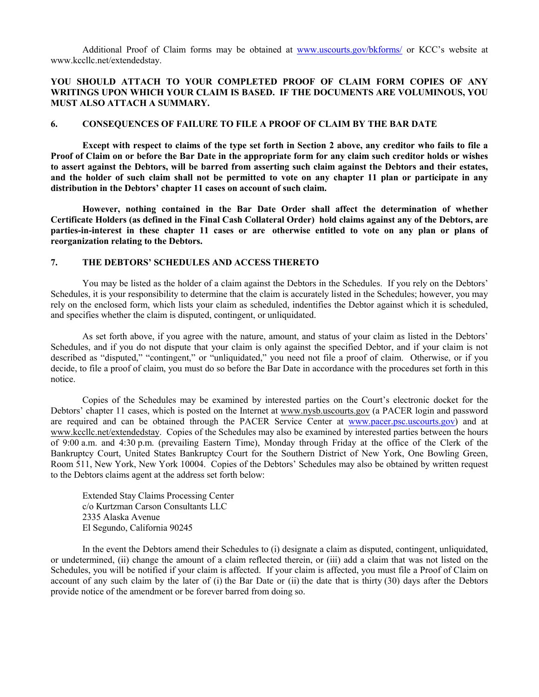Additional Proof of Claim forms may be obtained at www.uscourts.gov/bkforms/ or KCC's website at www.kccllc.net/extendedstay.

### **YOU SHOULD ATTACH TO YOUR COMPLETED PROOF OF CLAIM FORM COPIES OF ANY WRITINGS UPON WHICH YOUR CLAIM IS BASED. IF THE DOCUMENTS ARE VOLUMINOUS, YOU MUST ALSO ATTACH A SUMMARY.**

### **6. CONSEQUENCES OF FAILURE TO FILE A PROOF OF CLAIM BY THE BAR DATE**

 **Except with respect to claims of the type set forth in Section 2 above, any creditor who fails to file a Proof of Claim on or before the Bar Date in the appropriate form for any claim such creditor holds or wishes to assert against the Debtors, will be barred from asserting such claim against the Debtors and their estates, and the holder of such claim shall not be permitted to vote on any chapter 11 plan or participate in any distribution in the Debtors' chapter 11 cases on account of such claim.** 

**However, nothing contained in the Bar Date Order shall affect the determination of whether Certificate Holders (as defined in the Final Cash Collateral Order) hold claims against any of the Debtors, are parties-in-interest in these chapter 11 cases or are otherwise entitled to vote on any plan or plans of reorganization relating to the Debtors.** 

### **7. THE DEBTORS' SCHEDULES AND ACCESS THERETO**

 You may be listed as the holder of a claim against the Debtors in the Schedules. If you rely on the Debtors' Schedules, it is your responsibility to determine that the claim is accurately listed in the Schedules; however, you may rely on the enclosed form, which lists your claim as scheduled, indentifies the Debtor against which it is scheduled, and specifies whether the claim is disputed, contingent, or unliquidated.

 As set forth above, if you agree with the nature, amount, and status of your claim as listed in the Debtors' Schedules, and if you do not dispute that your claim is only against the specified Debtor, and if your claim is not described as "disputed," "contingent," or "unliquidated," you need not file a proof of claim. Otherwise, or if you decide, to file a proof of claim, you must do so before the Bar Date in accordance with the procedures set forth in this notice.

 Copies of the Schedules may be examined by interested parties on the Court's electronic docket for the Debtors' chapter 11 cases, which is posted on the Internet at www.nysb.uscourts.gov (a PACER login and password are required and can be obtained through the PACER Service Center at www.pacer.psc.uscourts.gov) and at www.kccllc.net/extendedstay. Copies of the Schedules may also be examined by interested parties between the hours of 9:00 a.m. and 4:30 p.m. (prevailing Eastern Time), Monday through Friday at the office of the Clerk of the Bankruptcy Court, United States Bankruptcy Court for the Southern District of New York, One Bowling Green, Room 511, New York, New York 10004. Copies of the Debtors' Schedules may also be obtained by written request to the Debtors claims agent at the address set forth below:

Extended Stay Claims Processing Center c/o Kurtzman Carson Consultants LLC 2335 Alaska Avenue El Segundo, California 90245

 In the event the Debtors amend their Schedules to (i) designate a claim as disputed, contingent, unliquidated, or undetermined, (ii) change the amount of a claim reflected therein, or (iii) add a claim that was not listed on the Schedules, you will be notified if your claim is affected. If your claim is affected, you must file a Proof of Claim on account of any such claim by the later of (i) the Bar Date or (ii) the date that is thirty (30) days after the Debtors provide notice of the amendment or be forever barred from doing so.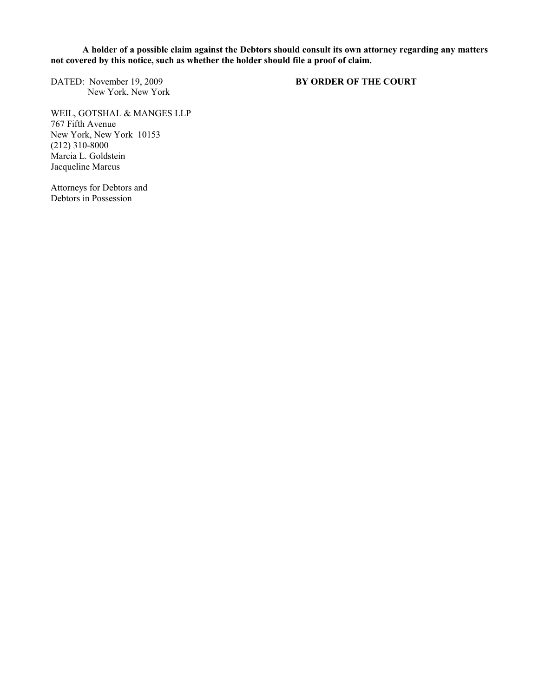**A holder of a possible claim against the Debtors should consult its own attorney regarding any matters**  not covered by this notice, such as whether the holder should file a proof of claim.

DATED: November 19, 2009 **BY ORDER OF THE COURT** New York, New York

WEIL, GOTSHAL & MANGES LLP 767 Fifth Avenue New York, New York 10153 (212) 310-8000 Marcia L. Goldstein Jacqueline Marcus

Attorneys for Debtors and Debtors in Possession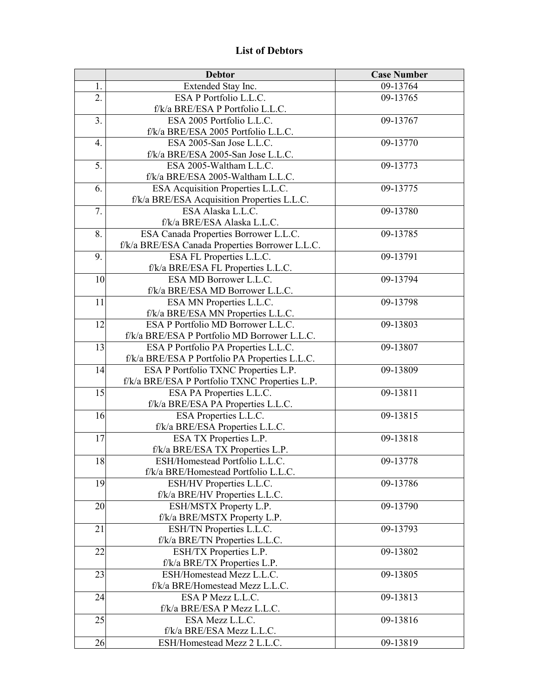# **List of Debtors**

|    | <b>Debtor</b>                                                                        | <b>Case Number</b> |
|----|--------------------------------------------------------------------------------------|--------------------|
| 1. | Extended Stay Inc.                                                                   | 09-13764           |
| 2. | ESA P Portfolio L.L.C.                                                               | 09-13765           |
|    | f/k/a BRE/ESA P Portfolio L.L.C.                                                     |                    |
| 3. | ESA 2005 Portfolio L.L.C.                                                            | 09-13767           |
|    | f/k/a BRE/ESA 2005 Portfolio L.L.C.                                                  |                    |
| 4. | ESA 2005-San Jose L.L.C.                                                             | 09-13770           |
|    | f/k/a BRE/ESA 2005-San Jose L.L.C.                                                   |                    |
| 5. | ESA 2005-Waltham L.L.C.                                                              | 09-13773           |
|    | f/k/a BRE/ESA 2005-Waltham L.L.C.                                                    |                    |
| 6. | ESA Acquisition Properties L.L.C.                                                    | 09-13775           |
|    | f/k/a BRE/ESA Acquisition Properties L.L.C.                                          |                    |
| 7. | ESA Alaska L.L.C.                                                                    | 09-13780           |
|    | f/k/a BRE/ESA Alaska L.L.C.                                                          |                    |
| 8. | ESA Canada Properties Borrower L.L.C.                                                | 09-13785           |
|    | f/k/a BRE/ESA Canada Properties Borrower L.L.C.                                      |                    |
| 9. | ESA FL Properties L.L.C.                                                             | 09-13791           |
|    | f/k/a BRE/ESA FL Properties L.L.C.                                                   |                    |
| 10 | ESA MD Borrower L.L.C.                                                               | 09-13794           |
|    | f/k/a BRE/ESA MD Borrower L.L.C.                                                     |                    |
| 11 | ESA MN Properties L.L.C.                                                             | 09-13798           |
|    | f/k/a BRE/ESA MN Properties L.L.C.<br>ESA P Portfolio MD Borrower L.L.C.             |                    |
| 12 |                                                                                      | 09-13803           |
| 13 | f/k/a BRE/ESA P Portfolio MD Borrower L.L.C.<br>ESA P Portfolio PA Properties L.L.C. | 09-13807           |
|    | f/k/a BRE/ESA P Portfolio PA Properties L.L.C.                                       |                    |
| 14 | ESA P Portfolio TXNC Properties L.P.                                                 | 09-13809           |
|    | f/k/a BRE/ESA P Portfolio TXNC Properties L.P.                                       |                    |
| 15 | ESA PA Properties L.L.C.                                                             | 09-13811           |
|    | f/k/a BRE/ESA PA Properties L.L.C.                                                   |                    |
| 16 | ESA Properties L.L.C.                                                                | 09-13815           |
|    | f/k/a BRE/ESA Properties L.L.C.                                                      |                    |
| 17 | ESA TX Properties L.P.                                                               | 09-13818           |
|    | f/k/a BRE/ESA TX Properties L.P.                                                     |                    |
| 18 | ESH/Homestead Portfolio L.L.C.                                                       | 09-13778           |
|    | f/k/a BRE/Homestead Portfolio L.L.C.                                                 |                    |
| 19 | ESH/HV Properties L.L.C.                                                             | 09-13786           |
|    | f/k/a BRE/HV Properties L.L.C.                                                       |                    |
| 20 | ESH/MSTX Property L.P.                                                               | 09-13790           |
|    | f/k/a BRE/MSTX Property L.P.                                                         |                    |
| 21 | ESH/TN Properties L.L.C.                                                             | 09-13793           |
|    | f/k/a BRE/TN Properties L.L.C.                                                       |                    |
| 22 | ESH/TX Properties L.P.                                                               | 09-13802           |
|    | f/k/a BRE/TX Properties L.P.                                                         |                    |
| 23 | ESH/Homestead Mezz L.L.C.                                                            | 09-13805           |
|    | f/k/a BRE/Homestead Mezz L.L.C.                                                      |                    |
| 24 | ESA P Mezz L.L.C.                                                                    | 09-13813           |
|    | f/k/a BRE/ESA P Mezz L.L.C.                                                          |                    |
| 25 | ESA Mezz L.L.C.                                                                      | 09-13816           |
|    | f/k/a BRE/ESA Mezz L.L.C.                                                            |                    |
| 26 | ESH/Homestead Mezz 2 L.L.C.                                                          | 09-13819           |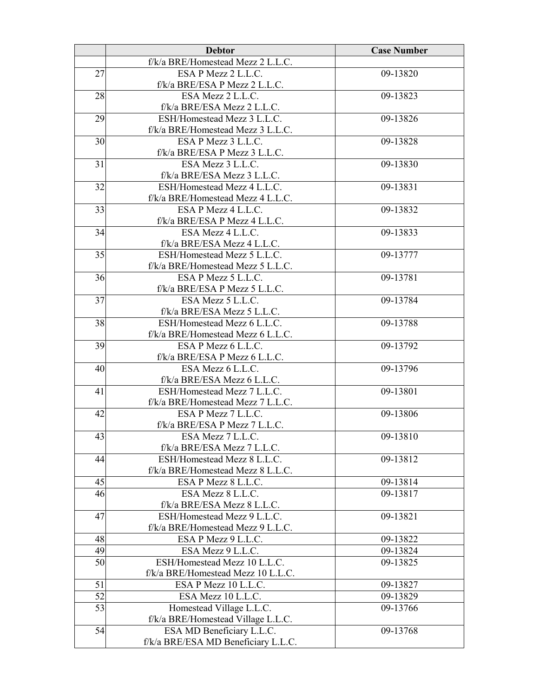|    | <b>Debtor</b>                                                    | <b>Case Number</b> |
|----|------------------------------------------------------------------|--------------------|
|    | f/k/a BRE/Homestead Mezz 2 L.L.C.                                |                    |
| 27 | ESA P Mezz 2 L.L.C.                                              | 09-13820           |
|    | f/k/a BRE/ESA P Mezz 2 L.L.C.                                    |                    |
| 28 | ESA Mezz 2 L.L.C.                                                | 09-13823           |
|    | f/k/a BRE/ESA Mezz 2 L.L.C.                                      |                    |
| 29 | ESH/Homestead Mezz 3 L.L.C.                                      | 09-13826           |
|    | f/k/a BRE/Homestead Mezz 3 L.L.C.                                |                    |
| 30 | ESA P Mezz 3 L.L.C.                                              | 09-13828           |
|    | f/k/a BRE/ESA P Mezz 3 L.L.C.                                    |                    |
| 31 | ESA Mezz 3 L.L.C.                                                | 09-13830           |
|    | f/k/a BRE/ESA Mezz 3 L.L.C.                                      |                    |
| 32 | ESH/Homestead Mezz 4 L.L.C.                                      | 09-13831           |
|    | f/k/a BRE/Homestead Mezz 4 L.L.C.                                |                    |
| 33 | ESA P Mezz 4 L.L.C.                                              | 09-13832           |
|    | f/k/a BRE/ESA P Mezz 4 L.L.C.                                    |                    |
| 34 | ESA Mezz 4 L.L.C.                                                | 09-13833           |
| 35 | f/k/a BRE/ESA Mezz 4 L.L.C.<br>ESH/Homestead Mezz 5 L.L.C.       | 09-13777           |
|    | f/k/a BRE/Homestead Mezz 5 L.L.C.                                |                    |
| 36 | ESA P Mezz 5 L.L.C.                                              | 09-13781           |
|    | f/k/a BRE/ESA P Mezz 5 L.L.C.                                    |                    |
| 37 | ESA Mezz 5 L.L.C.                                                | 09-13784           |
|    | f/k/a BRE/ESA Mezz 5 L.L.C.                                      |                    |
| 38 | ESH/Homestead Mezz 6 L.L.C.                                      | 09-13788           |
|    | f/k/a BRE/Homestead Mezz 6 L.L.C.                                |                    |
| 39 | ESA P Mezz 6 L.L.C.                                              | 09-13792           |
|    | f/k/a BRE/ESA P Mezz 6 L.L.C.                                    |                    |
| 40 | ESA Mezz 6 L.L.C.                                                | 09-13796           |
|    | f/k/a BRE/ESA Mezz 6 L.L.C.                                      |                    |
| 41 | ESH/Homestead Mezz 7 L.L.C.                                      | 09-13801           |
|    | f/k/a BRE/Homestead Mezz 7 L.L.C.                                |                    |
| 42 | ESA P Mezz 7 L.L.C.                                              | 09-13806           |
|    | f/k/a BRE/ESA P Mezz 7 L.L.C.                                    |                    |
| 43 | ESA Mezz 7 L.L.C.                                                | 09-13810           |
|    | f/k/a BRE/ESA Mezz 7 L.L.C.                                      | 09-13812           |
| 44 | ESH/Homestead Mezz 8 L.L.C.<br>f/k/a BRE/Homestead Mezz 8 L.L.C. |                    |
| 45 | ESA P Mezz 8 L.L.C.                                              | 09-13814           |
| 46 | ESA Mezz 8 L.L.C.                                                | 09-13817           |
|    | f/k/a BRE/ESA Mezz 8 L.L.C.                                      |                    |
| 47 | ESH/Homestead Mezz 9 L.L.C.                                      | 09-13821           |
|    | f/k/a BRE/Homestead Mezz 9 L.L.C.                                |                    |
| 48 | ESA P Mezz 9 L.L.C.                                              | 09-13822           |
| 49 | ESA Mezz 9 L.L.C.                                                | 09-13824           |
| 50 | ESH/Homestead Mezz 10 L.L.C.                                     | 09-13825           |
|    | f/k/a BRE/Homestead Mezz 10 L.L.C.                               |                    |
| 51 | ESA P Mezz 10 L.L.C.                                             | 09-13827           |
| 52 | ESA Mezz 10 L.L.C.                                               | 09-13829           |
| 53 | Homestead Village L.L.C.                                         | 09-13766           |
|    | f/k/a BRE/Homestead Village L.L.C.                               |                    |
| 54 | ESA MD Beneficiary L.L.C.                                        | 09-13768           |
|    | f/k/a BRE/ESA MD Beneficiary L.L.C.                              |                    |